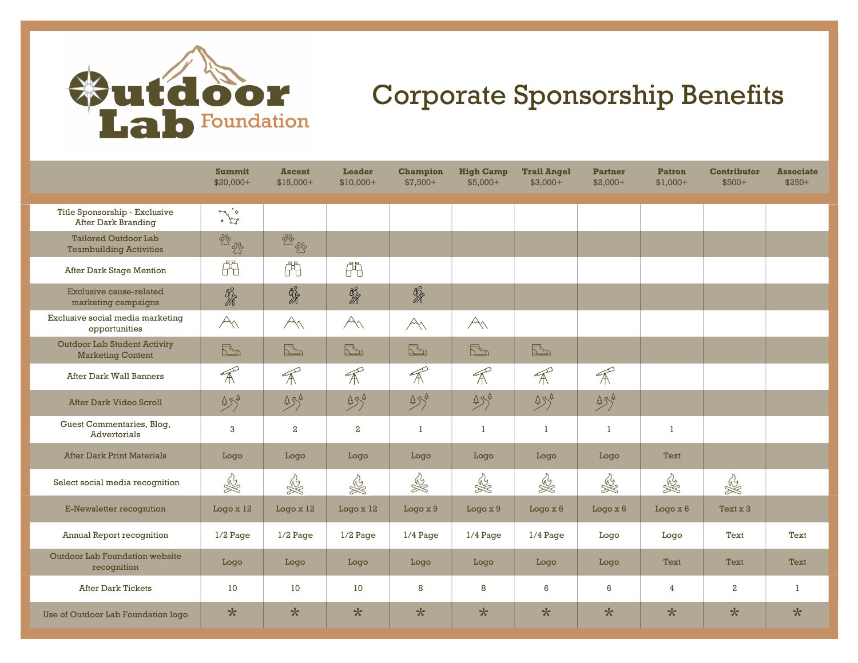

## Corporate Sponsorship Benefits

|                                                                 | <b>Summit</b><br>$$20,000+$ | <b>Ascent</b><br>$$15,000+$ | <b>Leader</b><br>$$10,000+$ | Champion<br>$$7,500+$   | <b>High Camp</b><br>$$5,000+$ | <b>Trail Angel</b><br>$$3,000+$ | <b>Partner</b><br>$$2,000+$ | <b>Patron</b><br>$$1,000+$ | <b>Contributor</b><br>$$500+$ | <b>Associate</b><br>$$250+$ |
|-----------------------------------------------------------------|-----------------------------|-----------------------------|-----------------------------|-------------------------|-------------------------------|---------------------------------|-----------------------------|----------------------------|-------------------------------|-----------------------------|
| Title Sponsorship - Exclusive<br><b>After Dark Branding</b>     | ings.                       |                             |                             |                         |                               |                                 |                             |                            |                               |                             |
| <b>Tailored Outdoor Lab</b><br><b>Teambuilding Activities</b>   | 28000                       | 280000                      |                             |                         |                               |                                 |                             |                            |                               |                             |
| <b>After Dark Stage Mention</b>                                 | Æħ                          | Ä                           | Ä                           |                         |                               |                                 |                             |                            |                               |                             |
| Exclusive cause-related<br>marketing campaigns                  | 贤                           | 赊                           | 贤                           | 赊                       |                               |                                 |                             |                            |                               |                             |
| Exclusive social media marketing<br>opportunities               | $\mathcal{A}_{\Lambda}$     | $\mathcal{A}_{\Lambda}$     | AM                          | $\mathcal{A}_{\Lambda}$ | $\mathcal{A}$                 |                                 |                             |                            |                               |                             |
| <b>Outdoor Lab Student Activity</b><br><b>Marketing Content</b> | $\overline{\mathbb{E}}$     | $\boxed{\Box}$              | $\overline{\mathbb{E}}$     | $E_{\text{min}}$        | $\overline{\mathbb{E}}$       | $\overline{\mathbb{E}}$         |                             |                            |                               |                             |
| <b>After Dark Wall Banners</b>                                  | $\mathcal{R}$               | $\mathbb{R}^2$              | $\mathcal{R}$               | $\mathcal{A}$           | $\mathbb{R}$                  | $\mathcal{R}$                   | $\mathcal{R}$               |                            |                               |                             |
| <b>After Dark Video Scroll</b>                                  | 454                         | 454                         | $45^{4}$                    | $45^{4}$                | $45^{4}$                      | 454                             | $45^{4}$                    |                            |                               |                             |
| Guest Commentaries, Blog,<br>Advertorials                       | 3                           | $\overline{a}$              | $\overline{a}$              | -1                      | -1                            | 1                               | 1                           | 1.                         |                               |                             |
| <b>After Dark Print Materials</b>                               | Logo                        | Logo                        | Logo                        | Logo                    | Logo                          | Logo                            | Logo                        | <b>Text</b>                |                               |                             |
| Select social media recognition                                 | R                           | R                           | RR                          | R                       | RE                            | RR                              | RR                          | RE                         | RE                            |                             |
| E-Newsletter recognition                                        | Logo x 12                   | Logo x 12                   | Logo $x12$                  | Logo $x9$               | Logo $x9$                     | Logo $x 6$                      | Logo $x6$                   | Logo $x 6$                 | Text x 3                      |                             |
| <b>Annual Report recognition</b>                                | $1/2$ Page                  | $1/2$ Page                  | $1/2$ Page                  | $1/4$ Page              | $1/4$ Page                    | $1/4$ Page                      | Logo                        | Logo                       | Text                          | Text                        |
| Outdoor Lab Foundation website<br>recognition                   | Logo                        | Logo                        | Logo                        | Logo                    | Logo                          | Logo                            | Logo                        | <b>Text</b>                | <b>Text</b>                   | <b>Text</b>                 |
| <b>After Dark Tickets</b>                                       | 10                          | 10                          | 10                          | 8                       | 8                             | 6                               | 6                           | 4                          | $\mathbf{2}$                  | -1                          |
| Use of Outdoor Lab Foundation logo                              | $\star$                     | $\star$                     | $\star$                     | $\star$                 | $\star$                       | $\star$                         | $\ast$                      | $\star$                    | $\star$                       | $\star$                     |